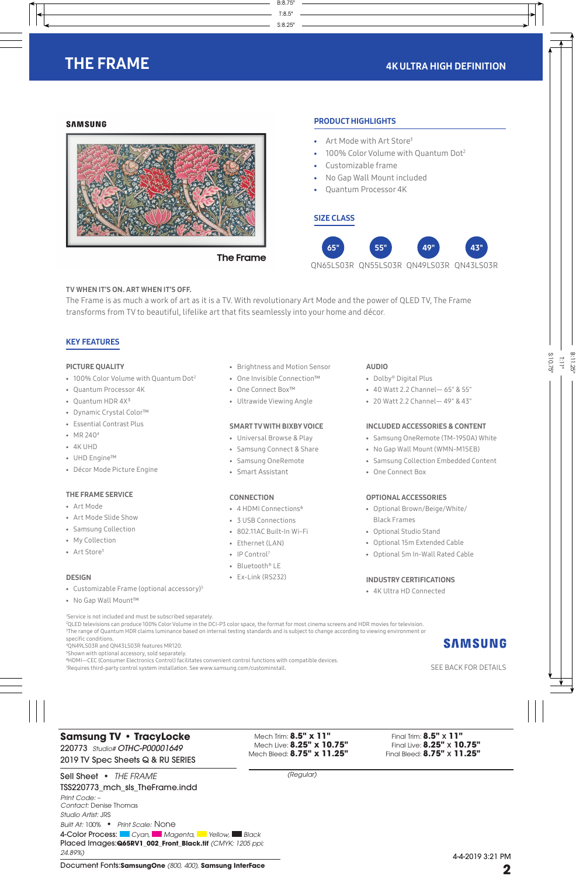# THE FRAME

### **SAMSUNG**



### TV WHEN IT'S ON. ART WHEN IT'S OFF.

The Frame is as much a work of art as it is a TV. With revolutionary Art Mode and the power of QLED TV, The Frame transforms from TV to beautiful, lifelike art that fits seamlessly into your home and décor.

# KEY FEATURES

### PICTURE QUALITY

- 100% Color Volume with Quantum Dot<sup>2</sup>
- Quantum Processor 4K
- Quantum HDR 4X<sup>3</sup>
- Dynamic Crystal Color™
- Essential Contrast Plus
- MR 2404
- 4K UHD
- UHD Engine™
- Décor Mode Picture Engine

### THE FRAME SERVICE

- Art Mode
- Art Mode Slide Show
- Samsung Collection
- My Collection
- Art Store1

### DESIGN

- Customizable Frame (optional accessory)5
- No Gap Wall Mount™

1 Service is not included and must be subscribed separately.

- Brightness and Motion Sensor • One Invisible Connection™
- One Connect Box™
- Ultrawide Viewing Angle

### SMART TV WITH BIXBY VOICE

- Universal Browse & Play
- Samsung Connect & Share
- Samsung OneRemote
- Smart Assistant

### **CONNECTION**

- 4 HDMI Connections<sup>6</sup>
- 3 USB Connections
- 802.11AC Built-In Wi-Fi
- Ethernet (LAN)
- IP Control<sup>7</sup>
- Bluetooth® LE
- Ex-Link (RS232)

## AUDIO

PRODUCT HIGHLIGHTS

- Dolby® Digital Plus
- 40 Watt 2.2 Channel— 65" & 55"
- 20 Watt 2.2 Channel— 49" & 43"

### INCLUDED ACCESSORIES & CONTENT

- Samsung OneRemote (TM-1950A) White
- No Gap Wall Mount (WMN-M15EB)
- Samsung Collection Embedded Content
- One Connect Box

### OPTIONAL ACCESSORIES

- Optional Brown/Beige/White/ Black Frames
- Optional Studio Stand
- Optional 15m Extended Cable
- Optional 5m In-Wall Rated Cable

## INDUSTRY CERTIFICATIONS

• 4K Ultra HD Connected

2 QLED televisions can produce 100% Color Volume in the DCI-P3 color space, the format for most cinema screens and HDR movies for television. 3 The range of Quantum HDR claims luminance based on internal testing standards and is subject to change according to viewing environment or specific conditions.

4 QN49LS03R and QN43LS03R features MR120.

5 Shown with optional accessory, sold separately.

⁶HDMI—CEC (Consumer Electronics Control) facilitates convenient control functions with compatible devices.

7 Requires third-party control system installation. See www.samsung.com/custominstall. SEE BACK FOR DETAILS AND THE BACK FOR DETAILS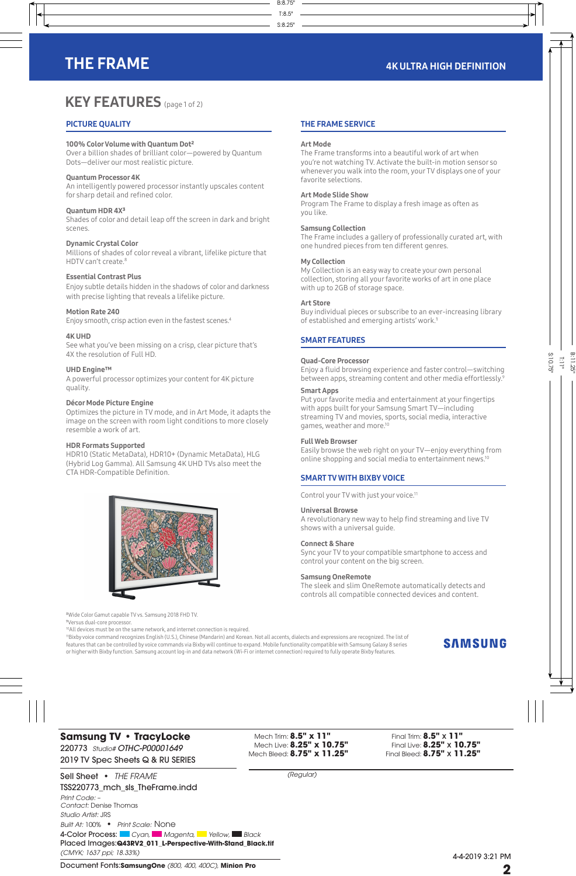# THE FRAME **4K ULTRA HIGH DEFINITION**

# **KEY FEATURES** (page 1 of 2)

# PICTURE QUALITY

### 100% Color Volume with Quantum Dot²

Over a billion shades of brilliant color—powered by Quantum Dots—deliver our most realistic picture.

### Quantum Processor 4K

An intelligently powered processor instantly upscales content for sharp detail and refined color.

### Quantum HDR 4X³

Shades of color and detail leap off the screen in dark and bright scenes.

### Dynamic Crystal Color

Millions of shades of color reveal a vibrant, lifelike picture that HDTV can't create.<sup>8</sup>

### Essential Contrast Plus

Enjoy subtle details hidden in the shadows of color and darkness with precise lighting that reveals a lifelike picture.

### Motion Rate 240

Enjoy smooth, crisp action even in the fastest scenes.4

### 4K UHD

See what you've been missing on a crisp, clear picture that's 4X the resolution of Full HD.

### UHD Engine™

A powerful processor optimizes your content for 4K picture quality.

### Décor Mode Picture Engine

Optimizes the picture in TV mode, and in Art Mode, it adapts the image on the screen with room light conditions to more closely resemble a work of art.

### HDR Formats Supported

HDR10 (Static MetaData), HDR10+ (Dynamic MetaData), HLG (Hybrid Log Gamma). All Samsung 4K UHD TVs also meet the CTA HDR-Compatible Definition.



⁸Wide Color Gamut capable TV vs. Samsung 2018 FHD TV.

⁹Versus dual-core processor.

<sup>10</sup>All devices must be on the same network, and internet connection is required.

# THE FRAME SERVICE

### Art Mode

The Frame transforms into a beautiful work of art when you're not watching TV. Activate the built-in motion sensor so whenever you walk into the room, your TV displays one of your favorite selections.

### Art Mode Slide Show

Program The Frame to display a fresh image as often as you like.

### Samsung Collection

The Frame includes a gallery of professionally curated art, with one hundred pieces from ten different genres.

### My Collection

My Collection is an easy way to create your own personal collection, storing all your favorite works of art in one place with up to 2GB of storage space.

### Art Store

Buy individual pieces or subscribe to an ever-increasing library of established and emerging artists' work.<sup>1</sup>

### SMART FEATURES

### Quad-Core Processor

Enjoy a fluid browsing experience and faster control—switching between apps, streaming content and other media effortlessly.<sup>9</sup>

### Smart Apps

Put your favorite media and entertainment at your fingertips with apps built for your Samsung Smart TV—including streaming TV and movies, sports, social media, interactive games, weather and more.10

### Full Web Browser

Easily browse the web right on your TV—enjoy everything from online shopping and social media to entertainment news.10

### SMART TV WITH BIXBY VOICE

Control your TV with just your voice.<sup>11</sup>

### Universal Browse

A revolutionary new way to help find streaming and live TV shows with a universal guide.

### Connect & Share

Sync your TV to your compatible smartphone to access and control your content on the big screen.

### Samsung OneRemote

The sleek and slim OneRemote automatically detects and controls all compatible connected devices and content.

11Bixby voice command recognizes English (U.S.), Chinese (Mandarin) and Korean. Not all accents, dialects and expressions are recognized. The list of features that can be controlled by voice commands via Bixby will continue to expand. Mobile functionality compatible with Samsung Galaxy 8 series or higher with Bixby function. Samsung account log-in and data network (Wi-Fi or internet connection) required to fully operate Bixby features.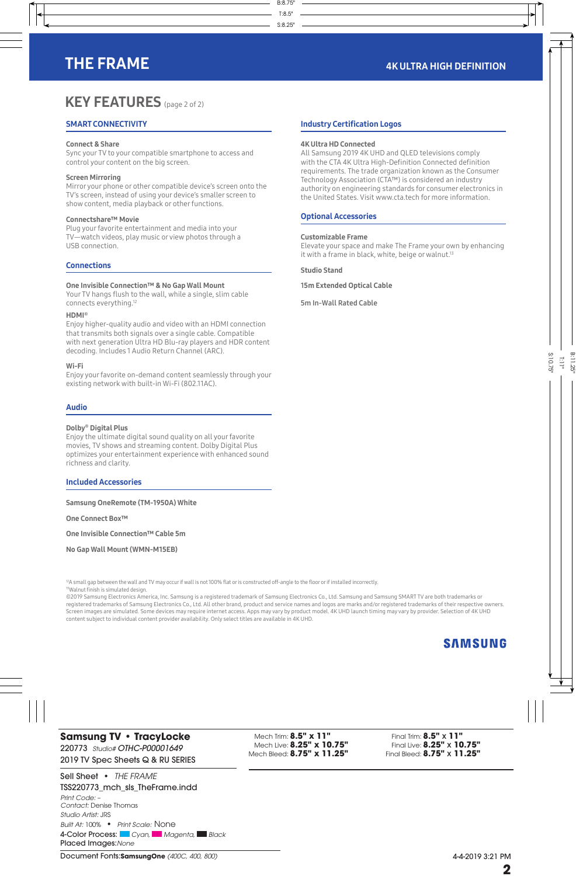# **KEY FEATURES** (page 2 of 2)

# SMART CONNECTIVITY

### Connect & Share

Sync your TV to your compatible smartphone to access and control your content on the big screen.

### Screen Mirroring

Mirror your phone or other compatible device's screen onto the TV's screen, instead of using your device's smaller screen to show content, media playback or other functions.

### Connectshare™ Movie

Plug your favorite entertainment and media into your TV—watch videos, play music or view photos through a USB connection.

## **Connections**

### One Invisible Connection™ & No Gap Wall Mount

Your TV hangs flush to the wall, while a single, slim cable connects everything.<sup>12</sup>

### HDMI®

Enjoy higher-quality audio and video with an HDMI connection that transmits both signals over a single cable. Compatible with next generation Ultra HD Blu-ray players and HDR content decoding. Includes 1 Audio Return Channel (ARC).

### Wi-Fi

Enjoy your favorite on-demand content seamlessly through your existing network with built-in Wi-Fi (802.11AC).

## Audio

### Dolby® Digital Plus

Enjoy the ultimate digital sound quality on all your favorite movies, TV shows and streaming content. Dolby Digital Plus optimizes your entertainment experience with enhanced sound richness and clarity.

### Included Accessories

Samsung OneRemote (TM-1950A) White

One Connect Box™

One Invisible Connection™ Cable 5m

No Gap Wall Mount (WMN-M15EB)

## Industry Certification Logos

### 4K Ultra HD Connected

All Samsung 2019 4K UHD and QLED televisions comply with the CTA 4K Ultra High-Definition Connected definition requirements. The trade organization known as the Consumer Technology Association (CTA™) is considered an industry authority on engineering standards for consumer electronics in the United States. Visit www.cta.tech for more information.

### Optional Accessories

### Customizable Frame

Elevate your space and make The Frame your own by enhancing it with a frame in black, white, beige or walnut.<sup>13</sup>

Studio Stand

15m Extended Optical Cable

5m In-Wall Rated Cable

<sup>12</sup>A small gap between the wall and TV may occur if wall is not 100% flat or is constructed off-angle to the floor or if installed incorrectly. 13Walnut finish is simulated design.

©2019 Samsung Electronics America, Inc. Samsung is a registered trademark of Samsung Electronics Co., Ltd. Samsung and Samsung SMART TV are both trademarks or registered trademarks of Samsung Electronics Co., Ltd. All other brand, product and service names and logos are marks and/or registered trademarks of their respective owners. Screen images are simulated. Some devices may require internet access. Apps may vary by product model. 4K UHD launch timing may vary by provider. Selection of 4K UHD content subject to individual content provider availability. Only select titles are available in 4K UHD.

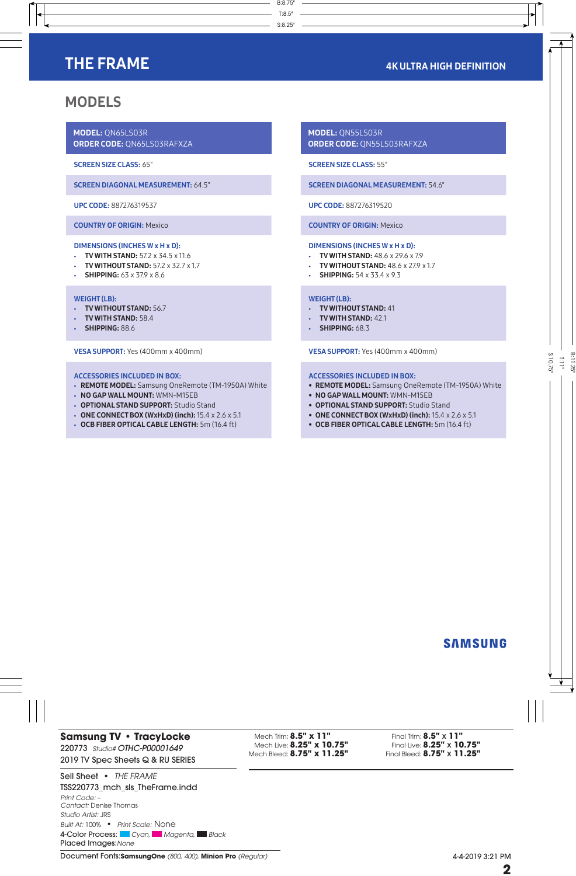# THE FRAME **And Internal Act of the Contract Contract Contract Contract Contract Contract Contract Contract Contract Contract Contract Contract Contract Contract Contract Contract Contract Contract Contract Contract Contrac**

# MODELS

MODEL: QN65LS03R ORDER CODE: QN65LS03RAFXZA

SCREEN SIZE CLASS: 65"

SCREEN DIAGONAL MEASUREMENT: 64.5"

UPC CODE: 887276319537

COUNTRY OF ORIGIN: Mexico

## DIMENSIONS (INCHES W x H x D):

- TV WITH STAND: 57.2 x 34.5 x 11.6
- **TV WITHOUT STAND: 57.2 x 32.7 x 1.7**
- SHIPPING:  $63 \times 37.9 \times 8.6$

### WEIGHT (LB):

- TV WITHOUT STAND: 56.7
- TV WITH STAND: 58.4
- SHIPPING: 88.6

VESA SUPPORT: Yes (400mm x 400mm)

### ACCESSORIES INCLUDED IN BOX:

- REMOTE MODEL: Samsung OneRemote (TM-1950A) White
- NO GAP WALL MOUNT: WMN-M15EB
- OPTIONAL STAND SUPPORT: Studio Stand
- ONE CONNECT BOX (WxHxD) (inch):  $15.4 \times 2.6 \times 5.1$
- OCB FIBER OPTICAL CABLE LENGTH: 5m (16.4 ft)

MODEL: QN55LS03R ORDER CODE: QN55LS03RAFXZA

SCREEN SIZE CLASS: 55"

SCREEN DIAGONAL MEASUREMENT: 54.6"

UPC CODE: 887276319520

COUNTRY OF ORIGIN: Mexico

### DIMENSIONS (INCHES W x H x D):

- TV WITH STAND: 48.6 x 29.6 x 7.9
- TV WITHOUT STAND:  $48.6 \times 279 \times 1.7$
- **SHIPPING:** 54 x 33.4 x 9.3

### WEIGHT (LB):

- TV WITHOUT STAND: 41
- TV WITH STAND: 42.1
- **SHIPPING: 68.3**

VESA SUPPORT: Yes (400mm x 400mm)

### ACCESSORIES INCLUDED IN BOX:

- REMOTE MODEL: Samsung OneRemote (TM-1950A) White
- NO GAP WALL MOUNT: WMN-M15EB
- OPTIONAL STAND SUPPORT: Studio Stand
- ONE CONNECT BOX (WxHxD) (inch):  $15.4 \times 2.6 \times 5.1$
- OCB FIBER OPTICAL CABLE LENGTH: 5m (16.4 ft)